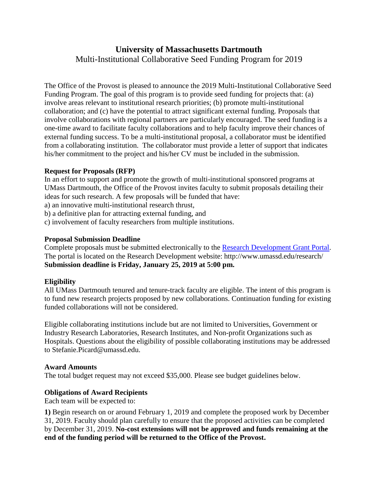# **University of Massachusetts Dartmouth** Multi-Institutional Collaborative Seed Funding Program for 2019

The Office of the Provost is pleased to announce the 2019 Multi-Institutional Collaborative Seed Funding Program. The goal of this program is to provide seed funding for projects that: (a) involve areas relevant to institutional research priorities; (b) promote multi-institutional collaboration; and (c) have the potential to attract significant external funding. Proposals that involve collaborations with regional partners are particularly encouraged. The seed funding is a one-time award to facilitate faculty collaborations and to help faculty improve their chances of external funding success. To be a multi-institutional proposal, a collaborator must be identified from a collaborating institution. The collaborator must provide a letter of support that indicates his/her commitment to the project and his/her CV must be included in the submission.

#### **Request for Proposals (RFP)**

In an effort to support and promote the growth of multi-institutional sponsored programs at UMass Dartmouth, the Office of the Provost invites faculty to submit proposals detailing their ideas for such research. A few proposals will be funded that have:

a) an innovative multi-institutional research thrust,

b) a definitive plan for attracting external funding, and

c) involvement of faculty researchers from multiple institutions.

#### **Proposal Submission Deadline**

Complete proposals must be submitted electronically to the [Research Development Grant Portal.](https://umassd.infoready4.com/) The portal is located on the Research Development website: http://www.umassd.edu/research/ **Submission deadline is Friday, January 25, 2019 at 5:00 pm.**

### **Eligibility**

All UMass Dartmouth tenured and tenure-track faculty are eligible. The intent of this program is to fund new research projects proposed by new collaborations. Continuation funding for existing funded collaborations will not be considered.

Eligible collaborating institutions include but are not limited to Universities, Government or Industry Research Laboratories, Research Institutes, and Non-profit Organizations such as Hospitals. Questions about the eligibility of possible collaborating institutions may be addressed to Stefanie.Picard@umassd.edu.

#### **Award Amounts**

The total budget request may not exceed \$35,000. Please see budget guidelines below.

### **Obligations of Award Recipients**

Each team will be expected to:

**1)** Begin research on or around February 1, 2019 and complete the proposed work by December 31, 2019. Faculty should plan carefully to ensure that the proposed activities can be completed by December 31, 2019. **No-cost extensions will not be approved and funds remaining at the end of the funding period will be returned to the Office of the Provost.**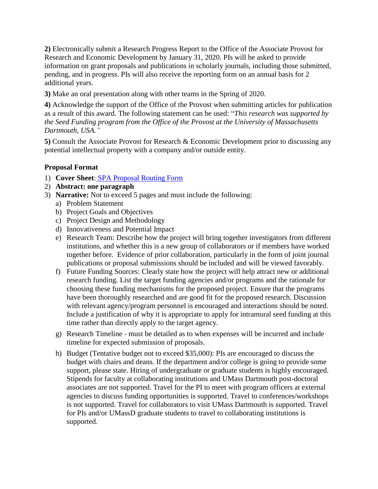**2)** Electronically submit a Research Progress Report to the Office of the Associate Provost for Research and Economic Development by January 31, 2020. PIs will be asked to provide information on grant proposals and publications in scholarly journals, including those submitted, pending, and in progress. PIs will also receive the reporting form on an annual basis for 2 additional years.

**3)** Make an oral presentation along with other teams in the Spring of 2020.

**4)** Acknowledge the support of the Office of the Provost when submitting articles for publication as a result of this award. The following statement can be used: "*This research was supported by the Seed Funding program from the Office of the Provost at the University of Massachusetts Dartmouth, USA."*

**5)** Consult the Associate Provost for Research & Economic Development prior to discussing any potential intellectual property with a company and/or outside entity.

### **Proposal Format**

- 1) **Cover Sheet**: [SPA Proposal Routing Form](http://www.umassd.edu/spa/forms/)
- 2) **Abstract: one paragraph**
- 3) **Narrative:** Not to exceed 5 pages and must include the following:
	- a) Problem Statement
	- b) Project Goals and Objectives
	- c) Project Design and Methodology
	- d) Innovativeness and Potential Impact
	- e) Research Team: Describe how the project will bring together investigators from different institutions, and whether this is a new group of collaborators or if members have worked together before. Evidence of prior collaboration, particularly in the form of joint journal publications or proposal submissions should be included and will be viewed favorably.
	- f) Future Funding Sources: Clearly state how the project will help attract new or additional research funding. List the target funding agencies and/or programs and the rationale for choosing these funding mechanisms for the proposed project. Ensure that the programs have been thoroughly researched and are good fit for the proposed research. Discussion with relevant agency/program personnel is encouraged and interactions should be noted. Include a justification of why it is appropriate to apply for intramural seed funding at this time rather than directly apply to the target agency.
	- g) Research Timeline must be detailed as to when expenses will be incurred and include timeline for expected submission of proposals.
	- h) Budget (Tentative budget not to exceed \$35,000): PIs are encouraged to discuss the budget with chairs and deans. If the department and/or college is going to provide some support, please state. Hiring of undergraduate or graduate students is highly encouraged. Stipends for faculty at collaborating institutions and UMass Dartmouth post-doctoral associates are not supported. Travel for the PI to meet with program officers at external agencies to discuss funding opportunities is supported. Travel to conferences/workshops is not supported. Travel for collaborators to visit UMass Dartmouth is supported. Travel for PIs and/or UMassD graduate students to travel to collaborating institutions is supported.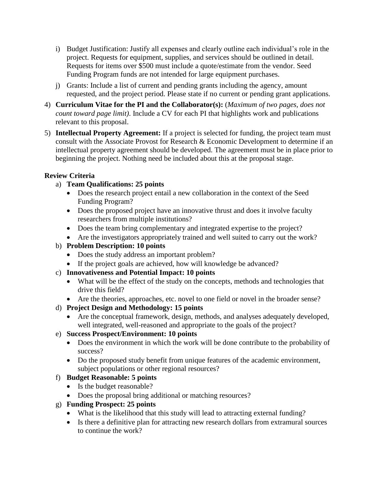- i) Budget Justification: Justify all expenses and clearly outline each individual's role in the project. Requests for equipment, supplies, and services should be outlined in detail. Requests for items over \$500 must include a quote/estimate from the vendor. Seed Funding Program funds are not intended for large equipment purchases.
- j) Grants: Include a list of current and pending grants including the agency, amount requested, and the project period. Please state if no current or pending grant applications.
- 4) **Curriculum Vitae for the PI and the Collaborator(s):** (*Maximum of two pages, does not count toward page limit)*. Include a CV for each PI that highlights work and publications relevant to this proposal.
- 5) **Intellectual Property Agreement:** If a project is selected for funding, the project team must consult with the Associate Provost for Research & Economic Development to determine if an intellectual property agreement should be developed. The agreement must be in place prior to beginning the project. Nothing need be included about this at the proposal stage.

### **Review Criteria**

# a) **Team Qualifications: 25 points**

- Does the research project entail a new collaboration in the context of the Seed Funding Program?
- Does the proposed project have an innovative thrust and does it involve faculty researchers from multiple institutions?
- Does the team bring complementary and integrated expertise to the project?
- Are the investigators appropriately trained and well suited to carry out the work?

# b) **Problem Description: 10 points**

- Does the study address an important problem?
- If the project goals are achieved, how will knowledge be advanced?

# c) **Innovativeness and Potential Impact: 10 points**

- What will be the effect of the study on the concepts, methods and technologies that drive this field?
- Are the theories, approaches, etc. novel to one field or novel in the broader sense?
- d) **Project Design and Methodology: 15 points**
	- Are the conceptual framework, design, methods, and analyses adequately developed, well integrated, well-reasoned and appropriate to the goals of the project?

# e) **Success Prospect/Environment: 10 points**

- Does the environment in which the work will be done contribute to the probability of success?
- Do the proposed study benefit from unique features of the academic environment, subject populations or other regional resources?

# f) **Budget Reasonable: 5 points**

- Is the budget reasonable?
- Does the proposal bring additional or matching resources?

# g) **Funding Prospect: 25 points**

- What is the likelihood that this study will lead to attracting external funding?
- Is there a definitive plan for attracting new research dollars from extramural sources to continue the work?